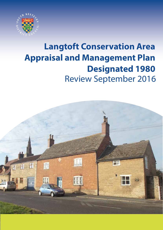

# Review September 2016 **Langtoft Conservation Area Appraisal and Management Plan Designated 1980**

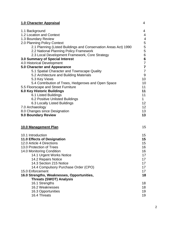| 1.0 Character Appraisal                                                           | 4                     |
|-----------------------------------------------------------------------------------|-----------------------|
| 1.1 Background                                                                    | 4                     |
| 1.2 Location and Context                                                          | 4                     |
| 1.3 Boundary Review                                                               | $\overline{4}$        |
| 2.0 Planning Policy Context                                                       | 5                     |
| 2.1 Planning (Listed Buildings and Conservation Areas Act) 1990                   | 5                     |
| 2.2 National Planning Policy Framework                                            | 5<br>$\boldsymbol{6}$ |
| 2.3 Local Development Framework, Core Strategy<br>3.0 Summary of Special Interest | $\boldsymbol{6}$      |
| 4.0 Historical Development                                                        | $\overline{7}$        |
| 5.0 Character and Appearance                                                      | $\overline{7}$        |
| 5.1 Spatial Character and Townscape Quality                                       | $\overline{7}$        |
| 5.2 Architecture and Building Materials                                           | 9                     |
| 5.3 Key Views                                                                     | 10                    |
| 5.4 Contribution of Trees, Hedgerows and Open Space                               | 10                    |
| 5.5 Floorscape and Street Furniture                                               | 11                    |
| <b>6.0 Key Historic Buildings</b>                                                 | 11                    |
| 6.1 Listed Buildings                                                              | 11                    |
| 6.2 Positive Unlisted Buildings<br>6.3 Locally Listed Buildings                   | 1<br>12               |
| 7.0 Archaeology                                                                   | 12                    |
| 8.0 Changes since Designation                                                     | 13                    |
| 9.0 Boundary Review                                                               | 13                    |
|                                                                                   | 15                    |
| 10.0 Management Plan                                                              |                       |
| 10.1 Introduction                                                                 | 15                    |
| 11.0 Effects of Designation                                                       | 15                    |
| 12.0 Article 4 Directions                                                         | 15                    |
| 13.0 Protection of Trees                                                          | 16                    |
| 14.0 Monitoring Condition                                                         | 16                    |
| 14.1 Urgent Works Notice                                                          | 17                    |
| 14.2 Repairs Notice<br>14.3 Section 215 Notice                                    | 17                    |
| 14.4 Compulsory Purchase Order (CPO)                                              | 17<br>17              |
| 15.0 Enforcement                                                                  | 17                    |
| 16.0 Strengths, Weaknesses, Opportunities,                                        | 18                    |
| <b>Threats (SWOT) Analysis</b>                                                    |                       |
| 16.1 Strengths                                                                    | 18                    |
| 16.2 Weaknesses                                                                   | 18                    |
| 16.3 Opportunities                                                                | 19                    |
| 16.4 Threats                                                                      | 19                    |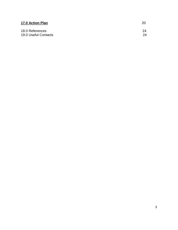| 17.0 Action Plan     | 20 |
|----------------------|----|
| 18.0 References      | 24 |
| 19.0 Useful Contacts | 24 |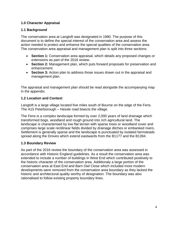## **1.0 Character Appraisal**

## **1.1 Background**

The conservation area at Langtoft was designated in 1980. The purpose of this document is to define the special interest of the conservation area and assess the action needed to protect and enhance the special qualities of the conservation area. The conservation area appraisal and management plan is split into three sections:

- **Section 1:** Conservation area appraisal, which details any proposed changes or extensions as part of the 2016 review.
- **Section 2:** Management plan, which puts forward proposals for preservation and enhancement.
- **Section 3:** Action plan to address those issues drawn out in the appraisal and management plan.

The appraisal and management plan should be read alongside the accompanying map in the appendix.

# **1.2 Location and Context**

Langtoft is a large village located five miles south of Bourne on the edge of the Fens. The A15 Peterborough – Hessle road bisects the village.

The Fens is a complex landscape formed by over 2,000 years of land drainage which transformed bogs, woodland and rough ground into rich agricultural land. The landscape is characterised by low flat terrain with sparse trees or woodland cover and comprises large scale rectilinear fields divided by drainage ditches or embanked rivers. Settlement is generally sparse and the landscape is punctuated by isolated farmsteads spread along the Droves which extend eastwards from the B1177 and the B1394.

# **1.3 Boundary Review**

As part of the 2016 review the boundary of the conservation area was assessed in accordance with Historic England guidelines. As a result the conservation area was extended to include a number of buildings in West End which contributed positively to the historic character of the conservation area. Additionaly a large portion of the conservation area at East End and Barn Owl Close which included more modern developments were removed from the conservation area boundary as they lacked the historic and architectural quality worthy of designation. The boundary was also rationalised to follow existing property boundary lines.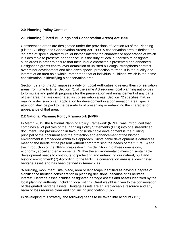# **2.0 Planning Policy Context**

## **2.1 Planning (Listed Buildings and Conservation Areas) Act 1990**

Conservation areas are designated under the provisions of Section 69 of the Planning (Listed Buildings and Conservation Areas) Act 1990. A conservation area is defined as "an area of special architectural or historic interest the character or appearance of which it is desirable to preserve or enhance". It is the duty of local authorities to designate such areas in order to ensure that their unique character is preserved and enhanced. Designation grants control over demolition of unlisted buildings, strengthens controls over minor development and also gives special protection to trees. It is the quality and interest of an area as a whole, rather than that of individual buildings, which is the prime consideration in identifying a conservation area.

Section 69(2) of the Act imposes a duty on Local Authorities to review their conservation areas from time to time, Section 71 of the same Act requires local planning authorities to formulate and publish proposals for the preservation and enhancement of any parts of their area that are designated as conservation areas. Section 72 specifies that, in making a decision on an application for development in a conservation area, special attention shall be paid to the desirability of preserving or enhancing the character or appearance of that area.

## **2.2 National Planning Policy Framework (NPPF)**

In March 2012, the National Planning Policy Framework (NPPF) was introduced that combines all of policies of the Planning Policy Statements (PPS) into one streamlined document. The presumption in favour of sustainable development is the guiding principal of the document and the protection and enhancement of the historic environment is embedded within this approach. Sustainable development is defined as meeting the needs of the present without compromising the needs of the future (5) and the introduction of the NPPF breaks down this definition into three dimensions; economic, social and environmental. Within the environmental dimension sustainable development needs to contribute to "protecting and enhancing our natural, built and historic environment' (7). According to the NPPF, a conservation area is a 'designated heritage asset' and has been defined in Annex 2 as

"A building, monument, site, place, area or landscape identified as having a degree of significance meriting consideration in planning decisions, because of its heritage interest. Heritage asset includes designated heritage assets and assets identified by the local planning authority (including local listing)".Great weight is given to the conservation of designated heritage assets. Heritage assets are an irreplaceable resource and any harm or loss requires clear and convincing justification (132).

In developing this strategy, the following needs to be taken into account (131):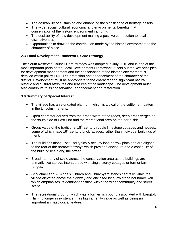- The desirability of sustaining and enhancing the significance of heritage assets
- The wider social, cultural, economic and environmental benefits that conservation of the historic environment can bring
- The desirability of new development making a positive contribution to local distinctiveness
- Opportunities to draw on the contribution made by the historic environment to the character of place

#### **2.3 Local Development Framework, Core Strategy**

The South Kesteven Council Core strategy was adopted in July 2010 and is one of the most important parts of the Local Development Framework. It sets out the key principles for development management and the conservation of the historic environment is detailed within policy EN1: The protection and enhancement of the character of the district. Development must be appropriate to the character and significant natural, historic and cultural attributes and features of the landscape. The development must also contribute to its conservation, enhancement and restoration.

#### **3.0 Summary of Special Interest**

- The village has an elongated plan form which is typical of the settlement pattern in the Lincolnshire fens.
- Open character derived from the broad width of the roads, deep grass verges on the south side of East End and the recreational area on the north side.
- Group value of the traditional  $18<sup>th</sup>$  century rubble limestone cottages and houses, some of which have 19<sup>th</sup> century brick facades, rather than individual buildings of merit.
- The buildings along East End typically occupy long narrow plots and are aligned to the rear of the narrow footways which provides enclosure and a continuity of the building line along the street.
- Broad harmony of scale across the conservation area as the buildings are primarily two storeys interspersed with single storey cottages or former farm ranges.
- St Michael and All Angels' Church and Churchyard stands centrally within the village elevated above the highway and enclosed by a low stone boundary wall, which emphasises its dominant position within the wider community and street scene.
- The recreational ground, which was a former fish pound associated with Langtoft Hall (no longer in existence), has high amenity value as well as being an important archaeological feature.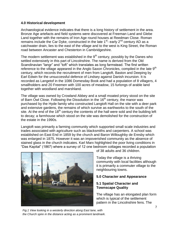#### **4.0 Historical development**

Archaeological evidence indicates that there is a long history of settlement in the area. Bronze Age artefacts and field systems were discovered at Freeman Land and Glebe Land together with the remains of Iron Age round houses at Reedman Close. Roman remains include the Car Dyke, constructed in the late 1<sup>st</sup>- early 2<sup>nd</sup> century AD as a catchwater drain, lies to the east of the village and to the west is King Street, the Roman road between Ancaster and Chesterton in Cambridgeshire.

The modern settlement was established in the  $9<sup>th</sup>$  century, possibly by the Danes who settled extensively in this part of Lincolnshire. The name is derived from the Old Scandinavian "langr" and "toft" which translates as long farmstead. The first written reference to the village appeared in the Anglo Saxon Chronicles, compiled in the late 9<sup>th</sup> century, which records the recruitment of men from Langtoft, Baston and Deeping by Earl Edwin for the unsuccessful defence of Lindsey against Danish incursion. It is recorded as Langetof in the 1086 Domesday Book and had a population of 8 villagers, 4 smallholders and 20 Freemen with 100 acres of meadow, 15 furlongs of arable land together with woodland and marshland.

The village was owned by Crowland Abbey and a small moated priory stood on the site of Barn Owl Close. Following the Dissolution in the  $16<sup>th</sup>$  century, the manor was purchased by the Hyde family who constructed Langtoft Hall on the site with a deer park and extensive gardens, the remains of which survive as earthworks to the south of the site. At the end of the  $18<sup>th</sup>$  century the contents of the hall were sold and the building left to decay; a farmhouse which stood on the site was demolished for the construction of the estate in the 1990s.

Langtoft was primarily a farming community which supported small scale industries and trades associated with agriculture such as blacksmiths and carpenters. A school was established on East End in 1859 by the church and Baron Willoughby de Eresby which was enlarged in 1875. However it was an impoverished community as the absence of stained glass in the church indicates. Karl Marx highlighted the poor living conditions in "Das Kapital" (1867) where a survey of 12 one bedroom cottages recorded a population



of 38 adults and 36 children.

Today the village is a thriving community with local facilities although it is primarily a commuter village to the neighbouring towns.

#### **5.0 Character and Appearance**

#### **5.1 Spatial Character and Townscape Quality**

The village has an elongated plan form which is typical of the settlement pattern in the Lincolnshire fens. The

*Fig.1 View looking in a westerly direction along East lane, with the Church spire in the distance acting as a prominent landmark.*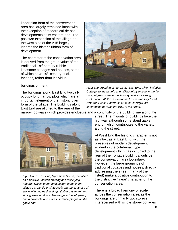linear plan form of the conservation area has largely remained intact with the exception of modern cul-de-sac developments at its eastern end. The post war expansion of the village on the west side of the A15 largely ignores the historic ribbon form of development.

The character of the conservation area is derived from the group value of the traditional  $18<sup>th</sup>$  century rubble limestone cottages and houses, some of which have  $19<sup>th</sup>$  century brick facades, rather than individual



buildings of merit.

The buildings along East End typically occupy long narrow plots which are an important element of the historic plan form of the village. The buildings along East End are aligned to the rear of the

*Fig.2 The grouping of No. 13-17 East End, which includes Cottage, to the far left, and Willhoughby House to the far right, aligned close to the footway, makes a strong contribution. All those except No.15 are statutory listed. Note the Parish Church spire in the background, contributing towards the view of the street.* 

narrow footways which provides enclosure and a continuity of the building line along the



*Fig.3 No.31 East End, Sycamore House, identified as a positive unlisted building and displaying features typical of the architecture found in the village eg, pantile or slate roofs, harmonious use of stone with quoins dressings, timber casement and sliding sash windows. The range to the left (west) has a dovecote and a fire insurance plaque on the gable end.*

street. The majority of buildings face the highway although some stand gable end on which contributes to the variety along the street.

At West End the historic character is not as intact as at East End, with the pressures of modern development evident in the cul-de-sac type development which has occurred to the rear of the frontage buildings, outside the conservation area boundary. However, the large groupings of traditional cottages and houses, directly addressing the street (many of them listed) make a positive contribution to the distinctive "linear" character of the conservation area.

There is a broad harmony of scale across the conservation area as the buildings are primarily two storeys interspersed with single storey cottages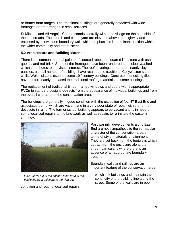or former farm ranges. The traditional buildings are generally detached with wide frontages or are arranged in small terraces.

St Michael and All Angels" Church stands centrally within the village on the east side of the crossroads. The church and churchyard are elevated above the highway and enclosed by a low stone boundary wall, which emphasises its dominant position within the wider community and street scene.

#### **5.2 Architecture and Building Materials**

There is a common material palette of coursed rubble or squared limestone with ashlar quoins, and red brick. Some of the frontages have been rendered and colour washed which contributes to the visual interest. The roof coverings are predominantly clay pantiles, a small number of buildings have retained the traditional Collyweston slate whilst Welsh slate is used on some  $19<sup>th</sup>$  century buildings. Concrete interlocking tiles have, unfortunately, replaced the traditional roofing materials on some buildings.

The replacement of traditional timber framed windows and doors with inappropriate PVCu to standard designs detracts from the appearance of individual buildings and from the overall character of the conservation area.

The buildings are generally in good condition with the exception of No. 47 East End and associated barns, which are vacant and in a very poor state of repair with the former dovecote in ruins. The former school building appears to be vacant and is in need of some localised repairs to the brickwork as well as repairs to re-instate the eastern chimney.



*Fig.4 Views out of the conservation area at the public footpath adjacent to the vicarage*

condition and require localised repairs.

Post war infill developments along East End are not sympathetic to the vernacular character of the conservation area in terms of style, materials or alignment. They are set back from the footways which detract from the enclosure along the street, particularly where there is an absence of an appropriate boundary treatment.

Boundary walls and railings are an important feature of the conservation area

which link buildings and maintain the continuity of the building line along the street. Some of the walls are in poor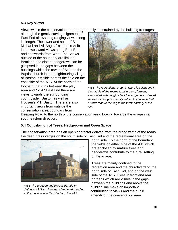#### **5.3 Key Views**

Views within the conservation area are generally constrained by the building frontages,

although the gently curving alignment of East End allows long ranging views along its length. The tower and spire of St Michael and All Angels" church is visible in the westward views along East End and eastwards from West End. Views outside of the boundary are limited; farmland and distant hedgerows can be glimpsed in the gaps between the buildings whilst the tower of St John the Baptist church in the neighbouring village of Baston is visible across the field on the east side of the A15. At the north of the footpath that runs between the play area and No.47 East End there are views towards the surrounding countryside, Baston as well as Hudsen"s Mill, Baston.There are also important views from outside the conservation area boundary from



*Fig.5 The recreational ground. There is a fishpond in the middle of the recreational ground, formerly associated with Langtoft Hall (no longer in existence). As well as being of amenity value, it is an important historic feature relating to the former history of the site.* 

Deeping Road to the north of the conservation area, looking towards the village in a south eastern direction.

#### **5.4 Contribution of Trees, Hedgerows and Open Space**

The conservation area has an open character derived from the broad width of the roads, the deep grass verges on the south side of East End and the recreational area on the



*Fig.6 The Waggon and Horses (Grade II), dating to 1831and important land mark building at the junction with East End and the A15.* 

north side. To the north of the boundary, the fields on either side of the A15 which are enclosed by mature trees and hedgerows contribute to the rural setting of the village.

Trees are mainly confined to the recreation area and the churchyard on the north side of East End, and on the west side of the A15. Trees in front and rear gardens which are visible in the gaps between the buildings and above the building line make an important contribution to views and the public amenity of the conservation area.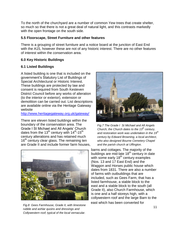To the north of the churchyard are a number of common Yew trees that create shelter, so much so that there is not a great deal of natural light, and this contrasts markedly with the open frontage on the south side.

#### **5.5 Floorscape, Street Furniture and other features**

There is a grouping of street furniture and a notice board at the junction of East End with the A15, however these are not of any historic interest. There are no other features of interest within the conservation area.

## **6.0 Key Historic Buildings**

#### **6.1 Listed Buildings**

A listed building is one that is included on the government"s Statutory List of Buildings of Special Architectural or Historic Interest. These buildings are protected by law and consent is required from South Kesteven District Council before any works of alteration (to the interior or exterior), extension or demolition can be carried out. List descriptions are available online via the Heritage Gateway website

#### <http://www.heritagegateway.org.uk/gateway/>

There are eleven listed buildings within the boundary of the conservation area. The Grade I St Michael and All Angels" Church dates from the 13<sup>th</sup> century with 14<sup>th</sup>-15<sup>th</sup> century alterations and has retained much 16<sup>th</sup> century clear glass. The remaining ten are Grade II and include former farm houses,



*Fig.8 Gees Farmhouse, Grade II, with limestone rubble and ashlar quoins and dressings and Collywestern roof; typical of the local vernacular.*



*Fig.7 The Grade I St Michael and All Angels Church, the Church dates to the 13th century, and restoration work was undertaken in the 19th century by Edward Browning, a local architect, who also designed Bourne Cemetery Chapel and the parish church at Uffington.* 

barns and cottages. The majority of the buildings are mid-late 18<sup>th</sup> century in date with some early  $18<sup>th</sup>$  century examples (Nos. 13 and 17 East End) and the Waggon and Horses public house which dates from 1831. There are also a number of farms with outbuildings that are included, such as Gees Farm, that has a listed farmhouse, a stable block to the east and a stable block to the south (all Grade II), also Church Farmhouse, which is one and a half storeys high, with a collywestern roof and the large Barn to the east which has been converted for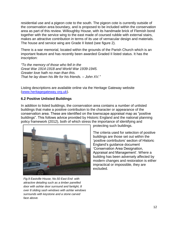residential use and a pigeon cote to the south. The pigeon cote is currently outside of the conservation area boundary, and is proposed to be included within the conservation area as part of this review. Willoughby House, with its handmade brick of Flemish bond together with the service wing to the east made of coursed rubble with external stairs, makes an attractive contribution in terms of its use of vernacular design and materials. The house and service wing are Grade II listed (see figure 2).

There is a war memorial, located within the grounds of the Parish Church which is an important feature and has recently been awarded Graded II listed status. It has the inscription:

*"To the memory of those who fell in the Great War 1914-1918 and World War 1939-1945. Greater love hath no man than this. That he lay down his life for his friends. – John XV."*

Listing descriptions are available online via the Heritage Gateway website [\(www.heritagegateway.org.uk\)](http://www.heritagegateway.org.uk/).

#### **6.2 Positive Unlisted Buildings**

In addition to listed buildings, the conservation area contains a number of unlisted buildings that make a positive contribution to the character or appearance of the conservation area. These are identified on the townscape appraisal map as "positive buildings". This follows advice provided by Historic England and the national planning policy framework (2012), both of which stress the importance of identifying and



*Fig.9 Eastville House, No.50 East End with attractive detailing such as a timber panelled door with ashlar door surround and fanlight, 8 over 8 sliding sash windows with ashlar windows surrounds with keystone and a stone carved face above.* 

protecting such buildings.

The criteria used for selection of positive buildings are those set out within the "positive contributors" section of Historic England"s guidance document "Conservation Area Designation, Appraisal and Management'. Where a building has been adversely affected by modern changes and restoration is either impractical or impossible, they are excluded.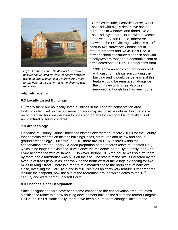

*Fig.10 Former School, No.45 East End, makes a positive contribution by virtue of design however would be greatly enhanced if there were a more formal boundary treatment and the chimney was reinstated.* 

Examples include, Eastville House, No.50 East End with highly decorative ashlar surrounds to windows and doors, No.31 East End, Sycamore House with dovecote to the west, Alston House, otherwise known as the Old vicarage, which is a 19<sup>th</sup> century two storey brick house set in mature gardens and No.45 East End, a former school constructed of brick and with a collywestern roof and a decorative coat of arms datestone of 1859. Photographs from

1981 show an enclosing boundary wall with cast iron railings surrounding the building and it would be beneficial if this feature could be reinstated, alongside the chimney which has also been removed, although this has been done

relatively recently.

# **6.3 Locally Listed Buildings**

Currently there are no locally listed buildings in the Langtoft conservation area. Buildings identified on the conservation area map as "positive unlisted buildings" are recommended for consideration for inclusion on any future Local List of buildings of architectural or historic interest.

# **7.0 Archaeology**

Lincolnshire County Council holds the historic environment record (HER) for the County that contains records on historic buildings, sites, structures and below and above ground archaeology. Currently, in 2016, there are 20 HER records within the conservation area boundary. A good proportion of the records relate to Langtoft Hall, which is no longer in existence. It was once the residence of the Hyde family, and Ann Hyde became the wife of James II. However, before 1816 the house was sold off room by room and a farmhouse was built on the site. The status of the site is indicated by the avenue of trees (known as long walk) to the north west of the village extending for two miles to King Street. There is a record of a moated site to the north east of barn owl close, overlying the Carr Dyke and is still visible as an earthwork feature. Other records include the fishpond, now the site of the recreation ground which dates to the  $18<sup>th</sup>$ century and were part of Langtoft Farm.

#### **8.0 Changes since Designation**

Since designation there have been some changes to the conservation area, the most significance relate to a new housing development built on the site of the former Langtoft Hall in the 1990s. Additionally, there have been a number of changes linked to the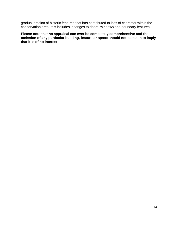gradual erosion of historic features that has contributed to loss of character within the conservation area, this includes, changes to doors, windows and boundary features.

**Please note that no appraisal can ever be completely comprehensive and the omission of any particular building, feature or space should not be taken to imply that it is of no interest**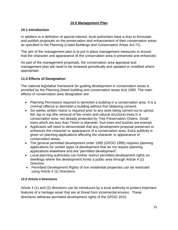## **10.0 Management Plan**

## **10.1 Introduction**

In addition to a definition of special interest, local authorities have a duty to formulate and publish proposals on the preservation and enhancement of their conservation areas as specified in the Planning (Listed Buildings and Conservation Areas Act:71).

The aim of the management plan is to put in place management measures to ensure that the character and appearance of the conservation area is preserved and enhanced.

As part of the management proposals, the conservation area appraisal and management plan will need to be reviewed periodically and updated or modified where appropriate.

# **11.0 Effects of Designation**

The national legislative framework for guiding development in conservation areas is provided by the Planning (listed building and conservation areas Act) 1990. The main effects of conservation area designation are:

- Planning Permission required to demolish a building in a conservation area. It is a criminal offence to demolish a building without first obtaining consent.
- Six weeks written notice is required prior to any work being carried out to uproot, fell, lop or top (the removal of the crown and natural structure) trees in a conservation area, not already protected by Tree Preservation Orders. Small trees which are less than 75mm in diameter, fruit trees and bushes are exempt.
- Applicants will need to demonstrate that any development proposal preserves or enhances the character or appearance of a conservation area. Extra publicity is given on planning applications affecting the character or appearance of conservation areas.
- The general permitted development order 1995 (GPDO 1995) requires planning applications for certain types of development that do not require planning applications elsewhere and are "permitted development".
- Local planning authorities can further restrict permitted development rights on dwellings where the development fronts a public area through Article 4 (2) Direction.
- Permitted Development Rights of non residential properties can be restricted using Article 4 (1) Directions.

#### **12.0 Article 4 Directions**

Article 4 (1) and (2) directions can be introduced by a local authority to protect important features of a heritage asset that are at threat from incremental erosion. These directions withdraw permitted development rights of the GPDO 2015.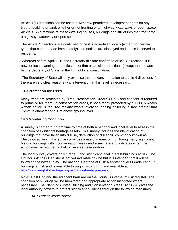Article 4(1) directions can be used to withdraw permitted development rights on any type of building or land, whether or not fronting onto highway, waterways or open space. Article 4 (2) directions relate to dwelling houses, buildings and structures that front onto a highway, waterway or open space.

The Article 4 directions are confirmed once it is advertised locally (except for certain types that can be made immediately), site notices are displayed and notice is served to residents.

Whereas before April 2010 the Secretary of State confirmed article 4 directions, it is now for local planning authorities to confirm all article 4 directions (except those made by the Secretary of State) in the light of local consultation.

The Secretary of State will only exercise their powers in relation to article 4 directions if there are very clear reasons why intervention at this level is necessary.

## **13.0 Protection for Trees**

Many trees are protected by "Tree Preservation Orders" (TPO) and consent is required to prune or fell them. In conservation areas, if not already protected by a TPO, 6 weeks written notice is required for any works involving lopping or felling a tree greater that 75mm in diameter and 1 m above ground level.

#### **14.0 Monitoring Condition**

A survey is carried out from time to time at both a national and local level to assess the condition of significant heritage assets. This survey includes the identification of buildings that have fallen into disuse, dereliction or disrepair, commonly known as "Buildings at Risk". This survey provides a useful means of monitoring many significant historic buildings within conservation areas and elsewhere and indicates when the action may be required to halt or reverse deterioration.

The local survey covers only Grade II and significant local interest buildings at risk. The Council"s At Risk Register is not yet available on-line but it is intended that it will be following the next survey. The national Heritage at Risk Register covers Grade I and II\* buildings at risk and is available through Historic England available at <http://www.english-heritage.org.uk/caring/heritage-at-risk/> .

No.47 East End and the adjacent barn are on the Councils internal at risk register. The condition of buildings will be monitored and appropriate action instigated where necessary. The Planning (Listed Building and Conservation Areas) Act 1990 gives the local authority powers to protect significant buildings through the following measures:

*14.1 Urgent Works Notice*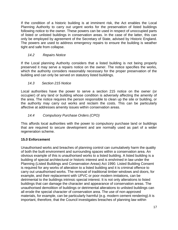If the condition of a historic building is at imminent risk, the Act enables the Local Planning Authority to carry out urgent works for the preservation of listed buildings following notice to the owner. These powers can be used in respect of unoccupied parts of listed or unlisted buildings in conservation areas. In the case of the latter, this can only be employed by agreement of the Secretary of State, advised by Historic England. The powers are used to address emergency repairs to ensure the building is weather tight and safe from collapse.

# *14.2 Repairs Notice*

If the Local planning Authority considers that a listed building is not being properly preserved it may serve a repairs notice on the owner. The notice specifies the works, which the authority considers reasonably necessary for the proper preservation of the building and can only be served on statutory listed buildings.

# *14.3 Section 215 Notice*

Local authorities have the power to serve a section 215 notice on the owner (or occupier) of any land or building whose condition is adversely affecting the amenity of the area. The notice requires the person responsible to clean up the site or building, or the authority may carry out works and reclaim the costs. This can be particularly affective at addresses amenity issues within conservation areas.

# *14.4 Compulsory Purchase Orders (CPO)*

This affords local authorities with the power to compulsory purchase land or buildings that are required to secure development and are normally used as part of a wider regeneration scheme.

# **15.0 Enforcement**

Unauthorised works and breaches of planning control can cumulatively harm the quality of both the built environment and surrounding spaces within a conservation area. An obvious example of this is unauthorised works to a listed building. A listed building is a building of special architectural or historic interest and is enshrined in law under the Planning (Listed Buildings and Conservation Areas) Act 1990. Listed Building Consent is required for any works of alteration to a listed building and it is criminal offence to carry out unauthorised works. The removal of traditional timber windows and doors, for example, and their replacement with UPVC or poor modern imitations, can be detrimental to the buildings intrinsic special interest. It is not only alterations to listed buildings that can damage the character and appearance of conservation areas. The unauthorised demolition of buildings or detrimental alterations to unlisted buildings can all erode the special character of conservation area. The use of non-approved materials, for example, can be particularly harmful (e.g. modern cement rendering).It is important, therefore, that the Council investigates breaches of planning law within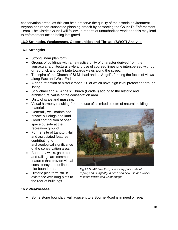conservation areas, as this can help preserve the quality of the historic environment. Anyone can report suspected planning breach by contacting the Council"s Enforcement Team. The District Council will follow up reports of unauthorized work and this may lead to enforcement action being instigated.

## **16.0 Strengths, Weaknesses, Opportunities and Threats (SWOT) Analysis**

## **16.1 Strengths**

- Strong linear plan form
- Groups of buildings with an attractive unity of character derived from the vernacular architectural style and use of coursed limestone interspersed with buff or red brick and contribute towards views along the street.
- The spire of the Church of St Michael and all Angel's forming the focus of views along East and West End
- A good retention of historic fabric, 20 of which have high level protection through listing.
- St Michael and All Angels' Church (Grade I) adding to the historic and architectural value of the conservation area.
- Unity of scale and massing.
- Visual harmony resulting from the use of a limited palette of natural building materials.
- Generally well maintained private buildings and land.
- Good contribution of open space outside at the recreation ground.
- Former site of Langtoft Hall and associated features contributing to archaeological significance of the conservation area.
- Boundary walls, gate piers and railings are common features that provide visual consistency and delineate plot boundaries.
- Historic plan form still in existence with long plots to the rear of buildings.



*Fig.11 No.47 East End, is in a very poor state of repair, and is urgently in need of a new use and works to make it wind and weathertight.* 

#### **16.2 Weaknesses**

• Some stone boundary wall adjacent to 3 Bourne Road is in need of repair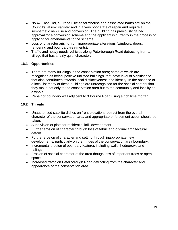- No 47 East End, a Grade II listed farmhouse and associated barns are on the Council"s "at risk" register and in a very poor state of repair and require a sympathetic new use and conversion. The building has previously gained approval for a conversion scheme and the applicant is currently in the process of applying for amendments to the scheme.
- Loss of character arising from inappropriate alterations (windows, doors, rendering and boundary treatments).
- Traffic and heavy goods vehicles along Peterborough Road detracting from a village that has a fairly quiet character.

## **16.1 Opportunities**

- There are many buildings in the conservation area; some of which are recognised as being "positive unlisted buildings" that have level of significance that also contributes towards local distinctiveness and identity. In the absence of a local list many of these buildings are unrecognised for the special contribution they make not only to the conservation area but to the community and locality as a whole.
- Repair of boundary wall adjacent to 3 Bourne Road using a rich lime mortar.

#### **16.2 Threats**

- Unauthorised satellite dishes on front elevations detract from the overall character of the conservation area and appropriate enforcement action should be taken.
- Subdivision of plots for residential infill development.
- Further erosion of character through loss of fabric and original architectural details.
- Further erosion of character and setting through inappropriate new developments, particularly on the fringes of the conservation area boundary.
- Incremental erosion of boundary features including walls, hedgerows and railings.
- Erosion of special character of the area though loss of important trees or open space.
- Increased traffic on Peterborough Road detracting from the character and appearance of the conservation area.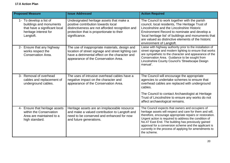| <b>Proposed Measure</b>                                                                                                   | <b>Issue Addressed</b>                                                                                                                                                                            | <b>Action Required</b>                                                                                                                                                                                                                                                                                                                                                                                                    |
|---------------------------------------------------------------------------------------------------------------------------|---------------------------------------------------------------------------------------------------------------------------------------------------------------------------------------------------|---------------------------------------------------------------------------------------------------------------------------------------------------------------------------------------------------------------------------------------------------------------------------------------------------------------------------------------------------------------------------------------------------------------------------|
| 1- To develop a list of<br>buildings and monuments<br>that have a significant local<br>heritage interest for<br>Langtoft. | Undesignated heritage assets that make a<br>positive contribution towards local<br>distinctiveness are not afforded recognition and<br>protection that is proportionate to their<br>significance. | The Council to work together with the parish<br>council, local residents, The Heritage Trust of<br>Lincolnshire and the Lincolnshire Historic<br>Environment Record to nominate and develop a<br>'local heritage list' of buildings and monuments that<br>are valued as distinctive elements of the historic<br>environment of Langtoft.                                                                                  |
| 2- Ensure that any highway<br>works respect the<br>Conservation Area.                                                     | The use of inappropriate materials, design and<br>location of street signage and street lighting can<br>have a detrimental effect on the character and<br>appearance of the Conservation Area.    | Liaise with highway authority prior to the installation of<br>street signage and modern lighting to ensure that works<br>are sympathetic to the character and appearance of the<br>Conservation Area. Guidance to be sought from<br>Lincolnshire County Council's 'Streetscape Design<br>manual'.                                                                                                                         |
| 3- Removal of overhead<br>cables and replacement of<br>underground cables.                                                | The uses of intrusive overhead cables have a<br>negative impact on the character and<br>appearance of the Conservation Area.                                                                      | The Council will encourage the appropriate<br>agencies to undertake schemes to ensure that<br>overhead cables are replaced with underground<br>cables.<br>The Council to contact Archaeologist at Heritage                                                                                                                                                                                                                |
|                                                                                                                           |                                                                                                                                                                                                   | Trust of Lincolnshire to ensure any works do not<br>affect archaeological remains.                                                                                                                                                                                                                                                                                                                                        |
| 4- Ensure that heritage assets<br>within the Conservation<br>Area are maintained to a<br>high standard.                   | Heritage assets are an irreplaceable resource<br>and make a valued contribution to Langtoft and<br>need to be conserved and enhanced for now<br>and future generations.                           | The Council expects that owners and occupiers of<br>heritage assets will respect and care for them and will,<br>therefore, encourage appropriate repairs or restoration.<br>Urgent action is required to address the condition of<br>No.47 East End. The building has previously gained<br>approval for a conversion scheme and the applicant is<br>currently in the process of applying for amendments to<br>the scheme. |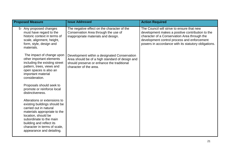| <b>Proposed Measure</b>                                                                                                                                                                                                                                           | <b>Issue Addressed</b>                                                                                                                                                  | <b>Action Required</b>                                                                                                                                                                                                                                |
|-------------------------------------------------------------------------------------------------------------------------------------------------------------------------------------------------------------------------------------------------------------------|-------------------------------------------------------------------------------------------------------------------------------------------------------------------------|-------------------------------------------------------------------------------------------------------------------------------------------------------------------------------------------------------------------------------------------------------|
| 5- Any proposed changes<br>must have regard to the<br>historic context in terms of<br>scale, alignment, height,<br>form, style, design and<br>materials.                                                                                                          | The negative effect on the character of the<br>Conservation Area through the use of<br>inappropriate materials and design.                                              | The Council will strive to ensure that new<br>development makes a positive contribution to the<br>character of a Conservation Area through the<br>development control process and enforcement<br>powers in accordance with its statutory obligations. |
| The impact of change upon<br>other important elements<br>including the existing street<br>pattern, trees, views and<br>open spaces is also an<br>important material<br>consideration.                                                                             | Development within a designated Conservation<br>Area should be of a high standard of design and<br>should preserve or enhance the traditional<br>character of the area. |                                                                                                                                                                                                                                                       |
| Proposals should seek to<br>promote or reinforce local<br>distinctiveness.                                                                                                                                                                                        |                                                                                                                                                                         |                                                                                                                                                                                                                                                       |
| Alterations or extensions to<br>existing buildings should be<br>carried out in natural<br>materials appropriate to the<br>location, should be<br>subordinate to the main<br>building and reflect its<br>character in terms of scale,<br>appearance and detailing. |                                                                                                                                                                         |                                                                                                                                                                                                                                                       |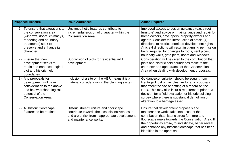| <b>Proposed Measure</b>                                                                                                                                                            | <b>Issue Addressed</b>                                                                                                                                                  | <b>Action Required</b>                                                                                                                                                                                                                                                                                                                                                                                                              |
|------------------------------------------------------------------------------------------------------------------------------------------------------------------------------------|-------------------------------------------------------------------------------------------------------------------------------------------------------------------------|-------------------------------------------------------------------------------------------------------------------------------------------------------------------------------------------------------------------------------------------------------------------------------------------------------------------------------------------------------------------------------------------------------------------------------------|
| 6- To ensure that alterations to<br>the conservation area<br>(windows, doors, chimneys,<br>rendering and boundary<br>treatments) seek to<br>preserve and enhance its<br>character. | Unsympathetic features contribute to<br>incremental erosion of character within the<br>Conservation Area.                                                               | Improved access to design guidance (e.g. street<br>furniture) and advice on maintenance and repair for<br>home owners, developers, property owners and<br>agents. Consider the introduction of article (4)<br>directions to restrict permitted development rights.<br>Article 4 directions will result in planning permission<br>being required for changes to roofs, vent pipes,<br>boundary walls, gate piers, doors and windows. |
| 7- Ensure that new<br>development seeks to<br>retain and enhance original<br>plot and historic field<br>boundaries.                                                                | Subdivision of plots for residential infill<br>development.                                                                                                             | Consideration will be given to the contribution that<br>plots and historic field boundaries make to the<br>character and appearance of the Conservation<br>Area when dealing with development proposals.                                                                                                                                                                                                                            |
| 8- Any proposals for<br>development will have<br>consideration to the above<br>and below archaeological<br>potential of the<br><b>Conservation Area.</b>                           | Inclusion of a site on the HER means it is a<br>material consideration in the planning system.                                                                          | Guidance/consultation should be sought from<br>Heritage Trust of Lincolnshire for any proposals<br>that affect the site or setting of a record on the<br>HER. This may also incur a requirement prior to a<br>decision for a field evaluation or historic building<br>survey where there is substantial demolition or<br>alteration to a heritage asset.                                                                            |
| 9- All historic floorscape<br>features to be retained.                                                                                                                             | Historic street furniture and floorscape<br>contribute towards the local distinctiveness of<br>and are at risk from inappropriate development<br>and maintenance works. | Ensure that development proposals and<br>maintenance works take into account the<br>contribution that historic street furniture and<br>floorscape make towards the Conservation Area. If<br>the opportunity arose, to investigate, better reveal<br>and enhance any historic floorscape that has been<br>identified in the appraisal.                                                                                               |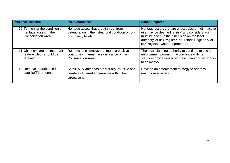| <b>Proposed Measure</b>                                                               | <b>Issue Addressed</b>                                                                                              | <b>Action Required</b>                                                                                                                                                                                                                                  |
|---------------------------------------------------------------------------------------|---------------------------------------------------------------------------------------------------------------------|---------------------------------------------------------------------------------------------------------------------------------------------------------------------------------------------------------------------------------------------------------|
| 10-To monitor the condition of<br>heritage assets in the<br><b>Conservation Area.</b> | Heritage assets that are at threat from<br>deterioration in their structural condition or low<br>occupancy levels.  | Heritage assets that are unoccupied or not in active<br>use may be deemed 'at risk' and consideration<br>must be given to their inclusion on the local<br>authority 'at risk' register, or Historic England's 'at<br>risk' register, where appropriate. |
| 11-Chimneys are an important<br>feature which should be<br>retained.                  | Removal of chimneys that make a positive<br>contribution harms the significance of the<br><b>Conservation Area.</b> | The local planning authority to continue to use its<br>enforcement powers in accordance with its<br>statutory obligations to address unauthorised works<br>to chimneys.                                                                                 |
| 12- Remove unauthorised<br>satellite/TV antenna.                                      | Satellite/TV antennas are visually intrusive and<br>create a cluttered appearance within the<br>streetscene.        | Develop an enforcement strategy to address<br>unauthorised works.                                                                                                                                                                                       |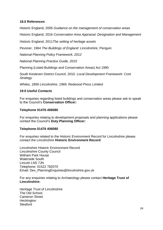#### **18.0 References**

Historic England, 2005 *Guidance on the management of conservation areas*

Historic England, 2016 *Conservation Area Appraisal, Designation and Management*

Historic England, 2011*The setting of heritage assets*

Pevsner, 1964 *The Buildings of England: Lincolnshire*, Penguin

*National Planning Policy Framework, 2012*

*National Planning Practice Guide, 2015*

Planning (Listed Buildings and Conservation Areas) Act 1990

South Kesteven District Council. 2010. *Local Development Framework: Core Strategy*

*Whites, 1856 Lincolnshire, 1969, Redwood Press Limited*

#### **19.0 Useful Contacts**

For enquiries regarding listed buildings and conservation areas please ask to speak to the Council"s **Conservation Officer:**

#### **Telephone 01476 406080**

For enquiries relating to development proposals and planning applications please contact the Council"s **Duty Planning Officer:**

#### **Telephone 01476 406080**

For enquiries related to the Historic Environment Record for Lincolnshire please contact the Lincolnshire **Historic Environment Record**:

Lincolnshire Historic Environment Record Lincolnshire County Council Witham Park House Waterside South Lincoln LN5 7JN Telephone: 01522 782070 Email: [Dev\\_PlanningEnquiries@lincolnshire.gov.uk](mailto:Dev_PlanningEnquiries@lincolnshire.gov.uk)

For any enquiries relating to Archaeology please contact **Heritage Trust of Lincolnshire:**

Heritage Trust of Lincolnshire The Old School Cameron Street **Heckington** Sleaford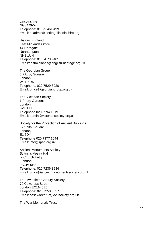**Lincolnshire** NG34 9RW Telephone: 01529 461 499 Email: [htladmin@heritagelincolnshire.org](mailto:htladmin@heritagelincolnshire.org)

Historic England East Midlands Office 44 Derngate **Northampton** NN1 1UH Telephone: 01604 735 401 Email[:eastmidlands@english](mailto:eastmidlands@english-heritage.org.uk) -heritage.org.uk

The Georgian Group 6 Fitzroy Square London W1T 5DX Telephone: 020 7529 8920 Email: [office@georgiangroup.org.uk](mailto:office@georgiangroup.org.uk)

The Victorian Society, 1 Priory Gardens, London W4 1TT Telephone 020 8994 1019 Email: [admin@victoriansociety.org.uk](mailto:admin@victoriansociety.org.uk)

Society for the Protection of Ancient Buildings 37 Spital Square London E1 6DY Telephone 020 7377 1644 Email: [info@spab.org.uk](mailto:info@spab.org.uk)

Ancient Monuments Society St Ann's Vestry Hall 2 Church Entry London EC4V 5HB Telephone: 020 7236 3934 Email: office@ancientmonumentssociety.org.uk

The Twentieth Century Society 70 Cowcross Street London EC1M 6EJ Telephone: 020 7250 3857 Email: [caseworker \(at\) c20society.org.uk](mailto:caseworker@c20society.org.uk)

The War Memorials Trust